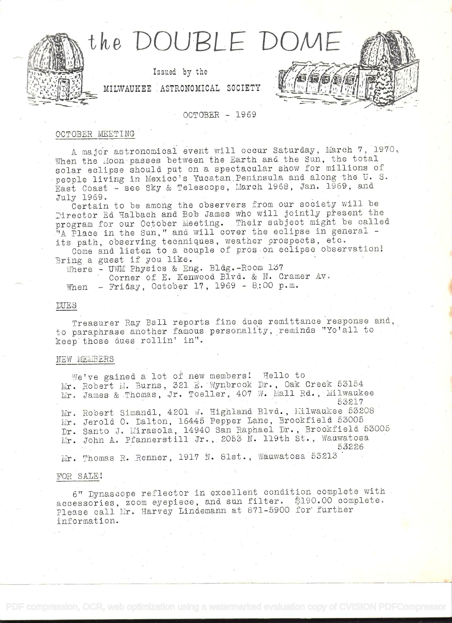

## OCTOBER - 1969

### OCTOBER MEETING

A major astronomical event will occur Saturday, March 7, 1970, When the Moon passes between the Earth and the Sun, the total solar eclipse should put on a spectacular show for millions of people living in Mexico's Yucatan Peninsula and along the U. S. East Coast - see Sky & Telescope, March 1968, Jan. 1969, and July 1969.

Certain to be among the observers from our society will be Director Ed Halbach and Bob James who will jointly present the program for our October Meeting. Their subject might be called "A Place in the Sun," and will cover the eclipse in general its path, observing techniques, weather prospects, etc.

Come and listen to a couple of pros on eclipse observation! Bring a guest if you like.

Where - UWM Physics & Eng. Bldg.-Room 137

Corner of E. Kenwood Blvd. & N. Cramer Av. When  $-$  Friday, October 17, 1969 - 8:00 p.m.

### **DUES**

Treasurer Ray Ball reports fine dues remittance response and, to paraphrase another famous personality, reminds "Yo'all to keep those dues rollin' in".

## NEW MEMBERS

We've gained a lot of new members! Hello to Mr. Robert M. Burns, 321 E. Wynbrook Dr., Oak Creek 53154 Mr. James & Thomas, Jr. Toeller, 407 W. Mall Rd., Milwaukee 53217 Mr. Robert Simandl, 4201 W. Highland Blvd., Milwaukee 53208 Mr. Jerold O. Dalton, 16445 Pepper Lane, Brookfield 53005 Dr. Santo J. Mirasola, 14940 San Raphael Dr., Brookfield 53005 Mr. John A. Pfannerstill Jr., 2053 N. 119th St., Wauwatosa 53226 Mr. Thomas R. Renner, 1917 N. 81st., Wauwatosa 53213

## FOR SALE!

6" Dynascope reflector in excellent condition complete with accessories, zoom eyepiece, and sun filter. \$190.00 complete. Please call Mr. Harvey Lindemann at 871-5900 for further information.